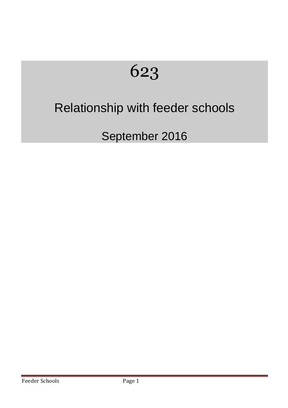# 623

## Relationship with feeder schools

September 2016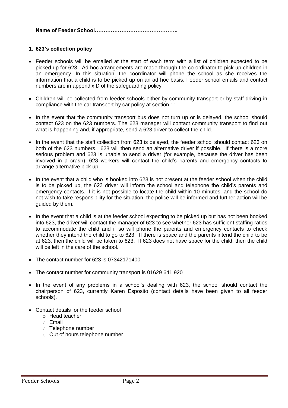#### **Name of Feeder School………………………………………..**

#### **1. 623's collection policy**

- Feeder schools will be emailed at the start of each term with a list of children expected to be picked up for 623. Ad hoc arrangements are made through the co-ordinator to pick up children in an emergency. In this situation, the coordinator will phone the school as she receives the information that a child is to be picked up on an ad hoc basis. Feeder school emails and contact numbers are in appendix D of the safeguarding policy
- Children will be collected from feeder schools either by community transport or by staff driving in compliance with the car transport by car policy at section 11.
- In the event that the community transport bus does not turn up or is delayed, the school should contact 623 on the 623 numbers. The 623 manager will contact community transport to find out what is happening and, if appropriate, send a 623 driver to collect the child.
- In the event that the staff collection from 623 is delayed, the feeder school should contact 623 on both of the 623 numbers. 623 will then send an alternative driver if possible. If there is a more serious problem and 623 is unable to send a driver (for example, because the driver has been involved in a crash), 623 workers will contact the child's parents and emergency contacts to arrange alternative pick up.
- In the event that a child who is booked into 623 is not present at the feeder school when the child is to be picked up, the 623 driver will inform the school and telephone the child's parents and emergency contacts. If it is not possible to locate the child within 10 minutes, and the school do not wish to take responsibility for the situation, the police will be informed and further action will be guided by them.
- In the event that a child is at the feeder school expecting to be picked up but has not been booked into 623, the driver will contact the manager of 623 to see whether 623 has sufficient staffing ratios to accommodate the child and if so will phone the parents and emergency contacts to check whether they intend the child to go to 623. If there is space and the parents intend the child to be at 623, then the child will be taken to 623. If 623 does not have space for the child, then the child will be left in the care of the school.
- The contact number for 623 is 07342171400
- The contact number for community transport is 01629 641 920
- In the event of any problems in a school's dealing with 623, the school should contact the chairperson of 623, currently Karen Esposito (contact details have been given to all feeder schools).
- Contact details for the feeder school
	- o Head teacher
	- o Email
	- o Telephone number
	- o Out of hours telephone number